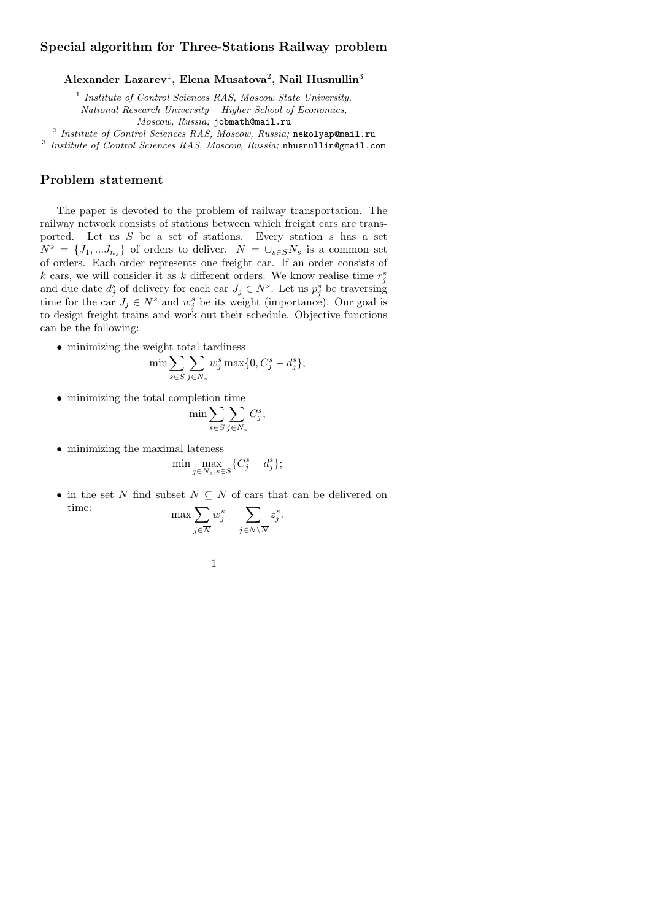# **Special algorithm for Three-Stations Railway problem**

**Alexander Lazarev**<sup>1</sup> **, Elena Musatova**<sup>2</sup> **, Nail Husnullin**<sup>3</sup>

1 *Institute of Control Sciences RAS, Moscow State University, National Research University – Higher School of Economics, Moscow, Russia;* jobmath@mail.ru

2 *Institute of Control Sciences RAS, Moscow, Russia;* nekolyap@mail.ru

3 *Institute of Control Sciences RAS, Moscow, Russia;* nhusnullin@gmail.com

### **Problem statement**

The paper is devoted to the problem of railway transportation. The railway network consists of stations between which freight cars are transported. Let us *S* be a set of stations. Every station *s* has a set  $N^s = \{J_1, \ldots, J_{n_s}\}\$ of orders to deliver.  $N = \bigcup_{s \in S} N_s$  is a common set of orders. Each order represents one freight car. If an order consists of *k* cars, we will consider it as *k* different orders. We know realise time  $r_j^s$ and due date  $d_j^s$  of delivery for each car  $J_j \in N^s$ . Let us  $p_j^s$  be traversing time for the car  $J_j \in N^s$  and  $w_j^s$  be its weight (importance). Our goal is to design freight trains and work out their schedule. Objective functions can be the following:

*•* minimizing the weight total tardiness

$$
\min \sum_{s \in S} \sum_{j \in N_s} w_j^s \max \{0, C_j^s - d_j^s\};
$$

*•* minimizing the total completion time

$$
\min \sum_{s \in S} \sum_{j \in N_s} C_j^s;
$$

*•* minimizing the maximal lateness

$$
\min \max_{j \in N_s, s \in S} \{C_j^s - d_j^s\};
$$

*•* in the set *N* find subset *N ⊆ N* of cars that can be delivered on time:  $\Gamma$  $w_i^s$  $\Gamma$ *z s .*

$$
\max \sum_{j \in \overline{N}} w_j^s - \sum_{j \in N \setminus \overline{N}} z_j^s
$$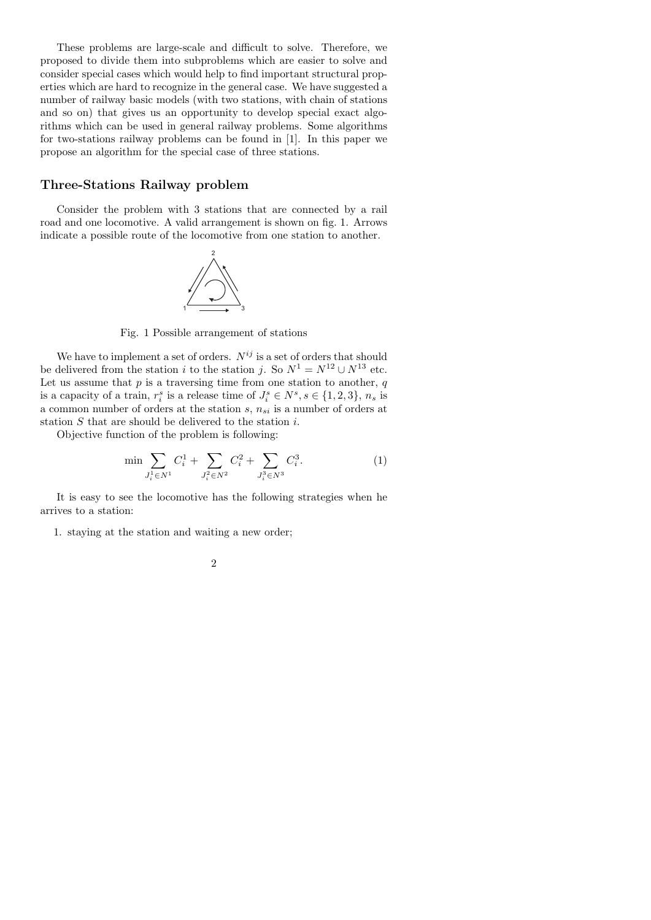These problems are large-scale and difficult to solve. Therefore, we proposed to divide them into subproblems which are easier to solve and consider special cases which would help to find important structural properties which are hard to recognize in the general case. We have suggested a number of railway basic models (with two stations, with chain of stations and so on) that gives us an opportunity to develop special exact algorithms which can be used in general railway problems. Some algorithms for two-stations railway problems can be found in [1]. In this paper we propose an algorithm for the special case of three stations.

## **Three-Stations Railway problem**

Consider the problem with 3 stations that are connected by a rail road and one locomotive. A valid arrangement is shown on fig. 1. Arrows indicate a possible route of the locomotive from one station to another.



Fig. 1 Possible arrangement of stations

We have to implement a set of orders.  $N^{ij}$  is a set of orders that should be delivered from the station *i* to the station *j*. So  $N^1 = N^{12} \cup N^{13}$  etc. Let us assume that  $p$  is a traversing time from one station to another,  $q$ is a capacity of a train,  $r_i^s$  is a release time of  $J_i^s \in N^s, s \in \{1, 2, 3\}, n_s$  is a common number of orders at the station *s*, *nsi* is a number of orders at station *S* that are should be delivered to the station *i*.

Objective function of the problem is following:

$$
\min \sum_{J_i^1 \in N^1} C_i^1 + \sum_{J_i^2 \in N^2} C_i^2 + \sum_{J_i^3 \in N^3} C_i^3.
$$
 (1)

It is easy to see the locomotive has the following strategies when he arrives to a station:

1. staying at the station and waiting a new order;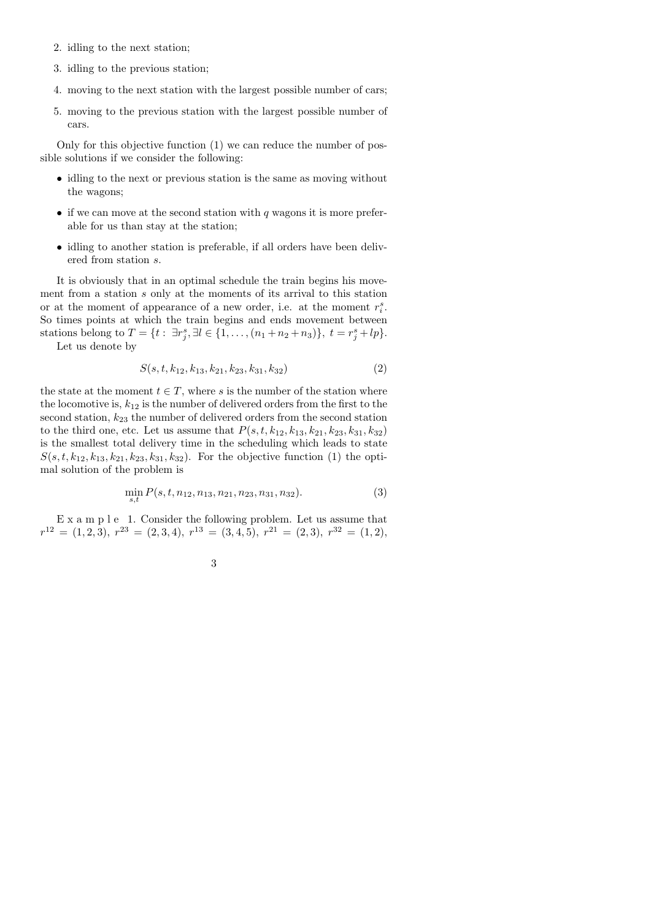- 2. idling to the next station;
- 3. idling to the previous station;
- 4. moving to the next station with the largest possible number of cars;
- 5. moving to the previous station with the largest possible number of cars.

Only for this objective function (1) we can reduce the number of possible solutions if we consider the following:

- idling to the next or previous station is the same as moving without the wagons;
- *•* if we can move at the second station with *q* wagons it is more preferable for us than stay at the station;
- idling to another station is preferable, if all orders have been delivered from station *s*.

It is obviously that in an optimal schedule the train begins his movement from a station *s* only at the moments of its arrival to this station or at the moment of appearance of a new order, i.e. at the moment  $r_i^s$ . So times points at which the train begins and ends movement between stations belong to  $T = \{t : \exists r_j^s, \exists l \in \{1, ..., (n_1 + n_2 + n_3)\}, t = r_j^s + lp\}.$ 

Let us denote by

$$
S(s, t, k_{12}, k_{13}, k_{21}, k_{23}, k_{31}, k_{32})
$$
\n
$$
(2)
$$

the state at the moment  $t \in T$ , where *s* is the number of the station where the locomotive is,  $k_{12}$  is the number of delivered orders from the first to the second station, *k*<sup>23</sup> the number of delivered orders from the second station to the third one, etc. Let us assume that  $P(s, t, k_{12}, k_{13}, k_{21}, k_{23}, k_{31}, k_{32})$ is the smallest total delivery time in the scheduling which leads to state  $S(s, t, k_{12}, k_{13}, k_{21}, k_{23}, k_{31}, k_{32})$ . For the objective function (1) the optimal solution of the problem is

$$
\min_{s,t} P(s,t,n_{12},n_{13},n_{21},n_{23},n_{31},n_{32}).
$$
\n(3)

E x a m p l e 1. Consider the following problem. Let us assume that  $r^{12} = (1, 2, 3), r^{23} = (2, 3, 4), r^{13} = (3, 4, 5), r^{21} = (2, 3), r^{32} = (1, 2),$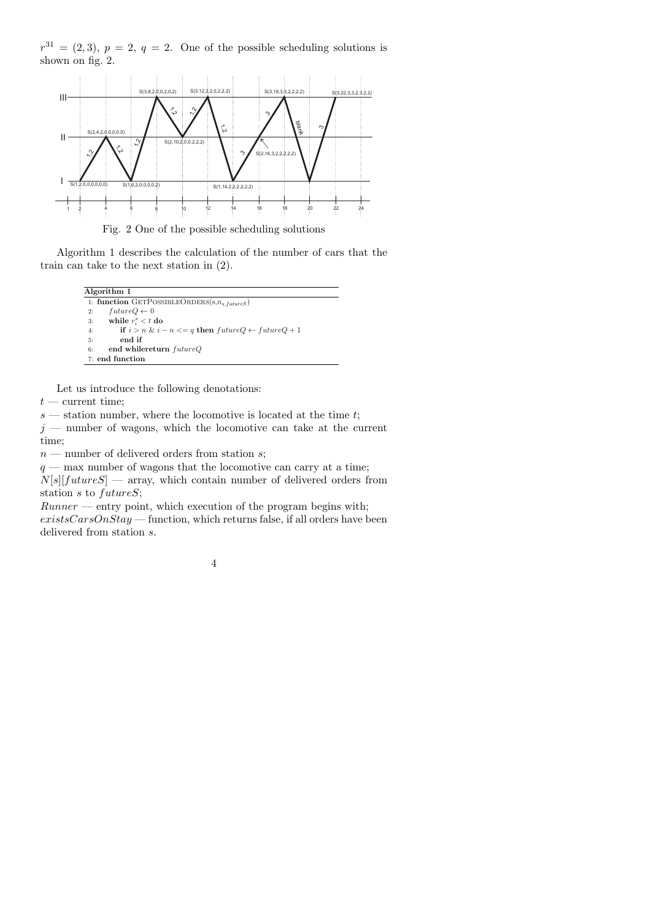$r^{31} = (2,3), p = 2, q = 2.$  One of the possible scheduling solutions is shown on fig. 2.



Algorithm 1 describes the calculation of the number of cars that the train can take to the next station in (2).

```
Algorithm 1
1: function GETPOSSIBLEORDERS(s, n_{s, futureS})
2: futureQ \leftarrow 03: while r_i^s < t do
4: if i > n \& i - n \leq q then futureQ \leftarrow futureQ + 15: end if
6: end whilereturn futureQ
7: end function
```
Let us introduce the following denotations:

 $t$  — current time;

*s* — station number, where the locomotive is located at the time *t*;

 $j$  — number of wagons, which the locomotive can take at the current time;

*n* — number of delivered orders from station *s*;

 $q$  — max number of wagons that the locomotive can carry at a time;  $N[s][futureS]$  — array, which contain number of delivered orders from station *s* to *futureS*;

*Runner* — entry point, which execution of the program begins with; *existsCarsOnStay* — function, which returns false, if all orders have been delivered from station *s*.